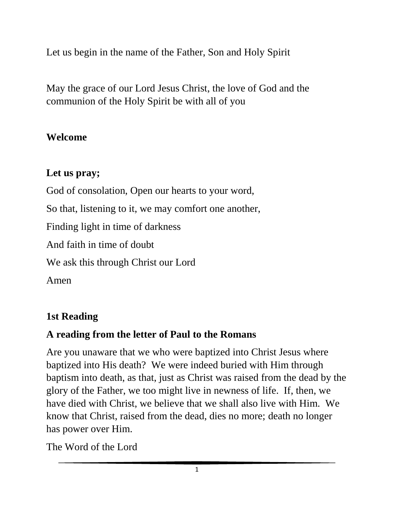Let us begin in the name of the Father, Son and Holy Spirit

May the grace of our Lord Jesus Christ, the love of God and the communion of the Holy Spirit be with all of you

#### **Welcome**

## **Let us pray;**

God of consolation, Open our hearts to your word, So that, listening to it, we may comfort one another, Finding light in time of darkness And faith in time of doubt We ask this through Christ our Lord Amen

# **1st Reading**

# **A reading from the letter of Paul to the Romans**

Are you unaware that we who were baptized into Christ Jesus where baptized into His death? We were indeed buried with Him through baptism into death, as that, just as Christ was raised from the dead by the glory of the Father, we too might live in newness of life. If, then, we have died with Christ, we believe that we shall also live with Him. We know that Christ, raised from the dead, dies no more; death no longer has power over Him.

The Word of the Lord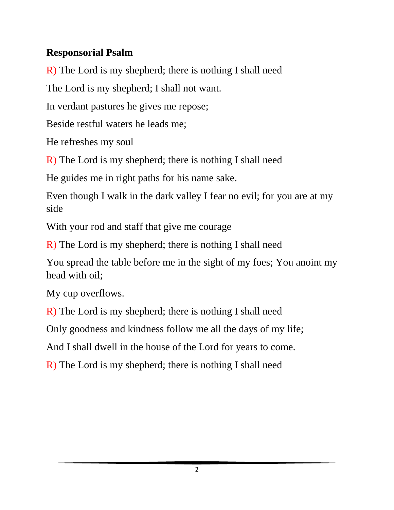## **Responsorial Psalm**

R) The Lord is my shepherd; there is nothing I shall need

The Lord is my shepherd; I shall not want.

In verdant pastures he gives me repose;

Beside restful waters he leads me;

He refreshes my soul

R) The Lord is my shepherd; there is nothing I shall need

He guides me in right paths for his name sake.

Even though I walk in the dark valley I fear no evil; for you are at my side

With your rod and staff that give me courage

R) The Lord is my shepherd; there is nothing I shall need

You spread the table before me in the sight of my foes; You anoint my head with oil;

My cup overflows.

R) The Lord is my shepherd; there is nothing I shall need

Only goodness and kindness follow me all the days of my life;

And I shall dwell in the house of the Lord for years to come.

R) The Lord is my shepherd; there is nothing I shall need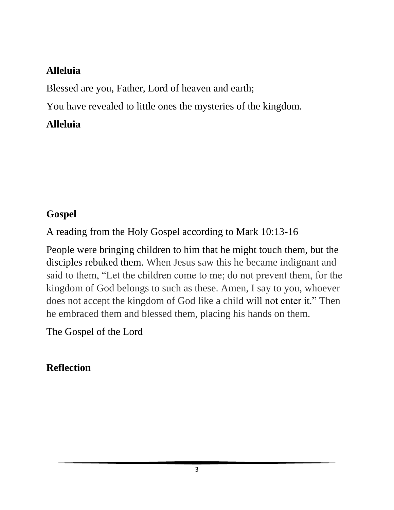#### **Alleluia**

Blessed are you, Father, Lord of heaven and earth;

You have revealed to little ones the mysteries of the kingdom.

## **Alleluia**

## **Gospel**

A reading from the Holy Gospel according to Mark 10:13-16

People were bringing children to him that he might touch them, but the disciples rebuked them. When Jesus saw this he became indignant and said to them, "Let the children come to me; do not prevent them, for the kingdom of God belongs to such as these. Amen, I say to you, whoever does not accept the kingdom of God like a child will not enter it." Then he embraced them and blessed them, placing his hands on them.

The Gospel of the Lord

# **Reflection**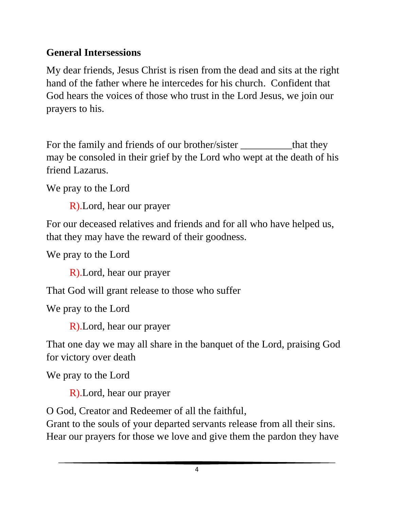# **General Intersessions**

My dear friends, Jesus Christ is risen from the dead and sits at the right hand of the father where he intercedes for his church. Confident that God hears the voices of those who trust in the Lord Jesus, we join our prayers to his.

For the family and friends of our brother/sister that they may be consoled in their grief by the Lord who wept at the death of his friend Lazarus.

We pray to the Lord

R).Lord, hear our prayer

For our deceased relatives and friends and for all who have helped us, that they may have the reward of their goodness.

We pray to the Lord

R).Lord, hear our prayer

That God will grant release to those who suffer

We pray to the Lord

R).Lord, hear our prayer

That one day we may all share in the banquet of the Lord, praising God for victory over death

We pray to the Lord

R).Lord, hear our prayer

O God, Creator and Redeemer of all the faithful,

Grant to the souls of your departed servants release from all their sins. Hear our prayers for those we love and give them the pardon they have